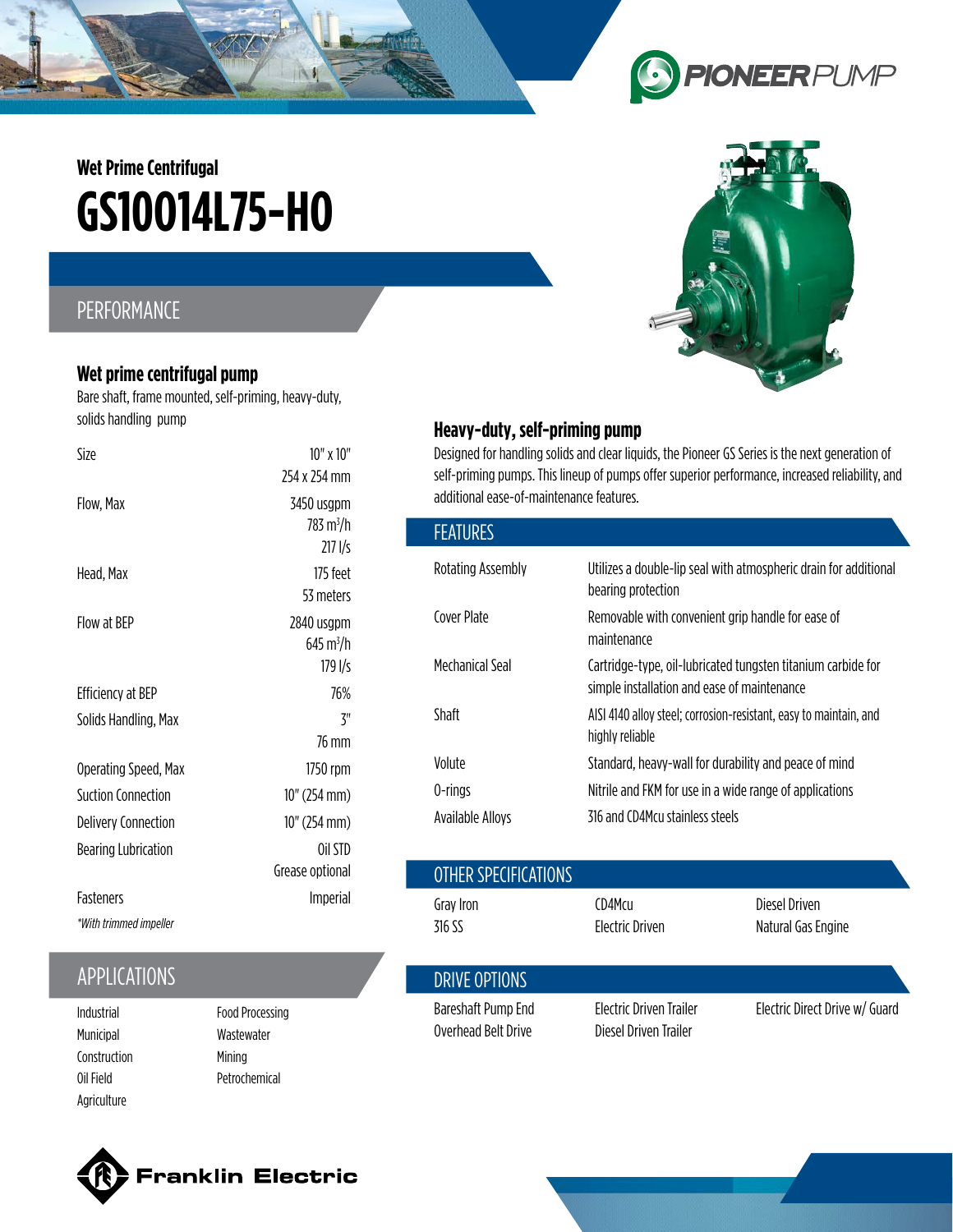# **GS10O14L75-HO Wet Prime Centrifugal**

## PERFORMANCE

#### **Wet prime centrifugal pump**

Bare shaft, frame mounted, self-priming, heavy-duty, solids handling pump

| Size                       | $10'' \times 10''$<br>254 x 254 mm               |
|----------------------------|--------------------------------------------------|
| Flow, Max                  | 3450 usgpm<br>783 m <sup>3</sup> /h<br>2171/s    |
| Head, Max                  | 175 feet<br>53 meters                            |
| Flow at BFP                | 2840 usgpm<br>645 m <sup>3</sup> /h<br>$179$ I/s |
| Efficiency at BEP          | 76%                                              |
| Solids Handling, Max       | 7"                                               |
|                            | 76 mm                                            |
| Operating Speed, Max       | 1750 rpm                                         |
| <b>Suction Connection</b>  | 10" (254 mm)                                     |
| <b>Delivery Connection</b> | 10" (254 mm)                                     |
| <b>Bearing Lubrication</b> | Oil STD                                          |
|                            | Grease optional                                  |
| <b>Fasteners</b>           | Imperial                                         |
| *With trimmed impeller     |                                                  |

# **APPLICATIONS**

- Municipal Construction Oil Field Agriculture
- Food Processing Wastewater Mining Petrochemical

## **Heavy-duty, self-priming pump**

Designed for handling solids and clear liquids, the Pioneer GS Series is the next generation of self-priming pumps. This lineup of pumps offer superior performance, increased reliability, and additional ease-of-maintenance features.

| <b>FEATURES</b>   |                                                                                                             |
|-------------------|-------------------------------------------------------------------------------------------------------------|
| Rotating Assembly | Utilizes a double-lip seal with atmospheric drain for additional<br>bearing protection                      |
| Cover Plate       | Removable with convenient grip handle for ease of<br>maintenance                                            |
| Mechanical Seal   | Cartridge-type, oil-lubricated tungsten titanium carbide for<br>simple installation and ease of maintenance |
| Shaft             | AISI 4140 alloy steel; corrosion-resistant, easy to maintain, and<br>highly reliable                        |
| Volute            | Standard, heavy-wall for durability and peace of mind                                                       |
| 0-rings           | Nitrile and FKM for use in a wide range of applications                                                     |
| Available Allovs  | 316 and CD4Mcu stainless steels                                                                             |

|                                            | Grease optional                      | OTHER SPECIFICATIONS                      |                                                         |                                     |  |
|--------------------------------------------|--------------------------------------|-------------------------------------------|---------------------------------------------------------|-------------------------------------|--|
| <b>Fasteners</b><br>*With trimmed impeller | Imperial                             | Gray Iron<br>316 SS                       | CD4Mcu<br><b>Electric Driven</b>                        | Diesel Driven<br>Natural Gas Engine |  |
| <b>APPLICATIONS</b>                        |                                      | DRIVE OPTIONS                             |                                                         |                                     |  |
| Industrial<br>Municinal                    | Food Processing<br><b>Wastowator</b> | Bareshaft Pump End<br>Overhead Belt Drive | <b>Electric Driven Trailer</b><br>Diesel Driven Trailer | Electric Direct Drive w/ Guard      |  |